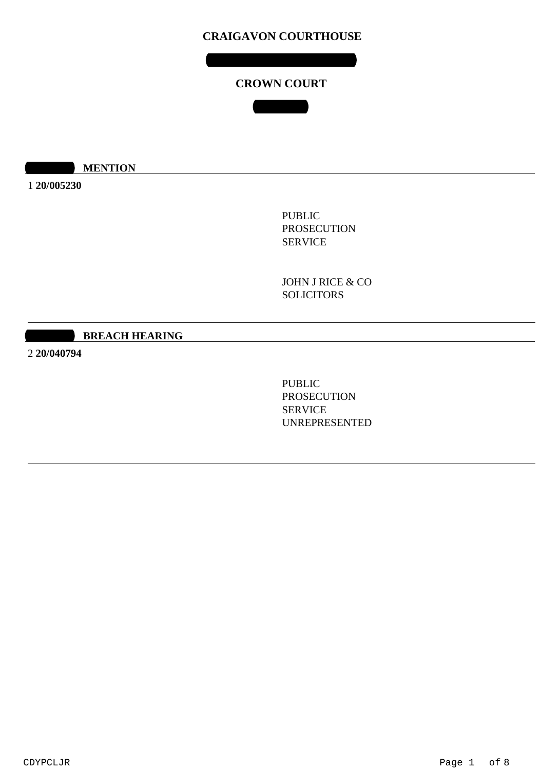# **CROWN COURT**

**COURT 1**

**10:00 MENTION** 

1 **20/005230**

PUBLIC PROSECUTION SERVICE

JOHN J RICE & CO **SOLICITORS** 

#### **10:30:40 BREACH HEARING**

2 **20/040794**

PUBLIC PROSECUTION SERVICE UNREPRESENTED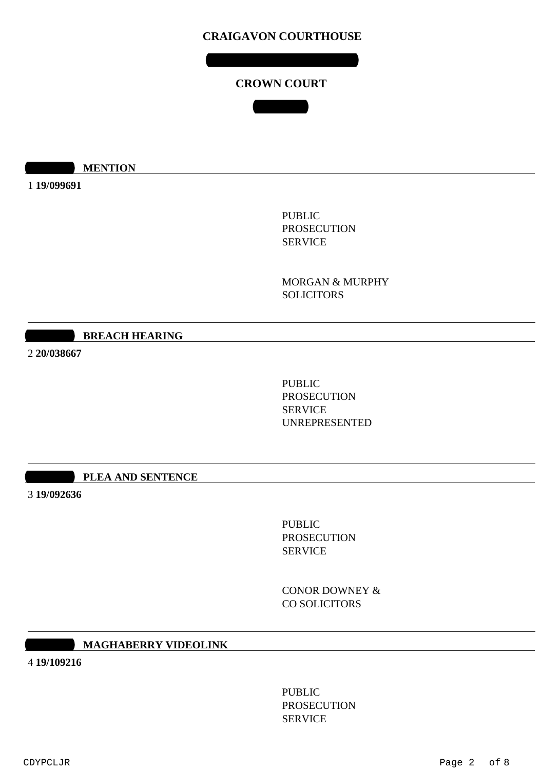**TUESDAY 11 AUGUST 2020**

### **CROWN COURT**

**COURT 1**

**10:00 MENTION** 

1 **19/099691**

PUBLIC PROSECUTION SERVICE

MORGAN & MURPHY **SOLICITORS** 

#### **10:25 BREACH HEARING**

2 **20/038667**

PUBLIC PROSECUTION SERVICE UNREPRESENTED

#### **10:30 PLEA AND SENTENCE**

3 **19/092636**

PUBLIC PROSECUTION SERVICE

CONOR DOWNEY & CO SOLICITORS

#### **11:00 MAGHABERRY VIDEOLINK**

4 **19/109216**

PUBLIC PROSECUTION SERVICE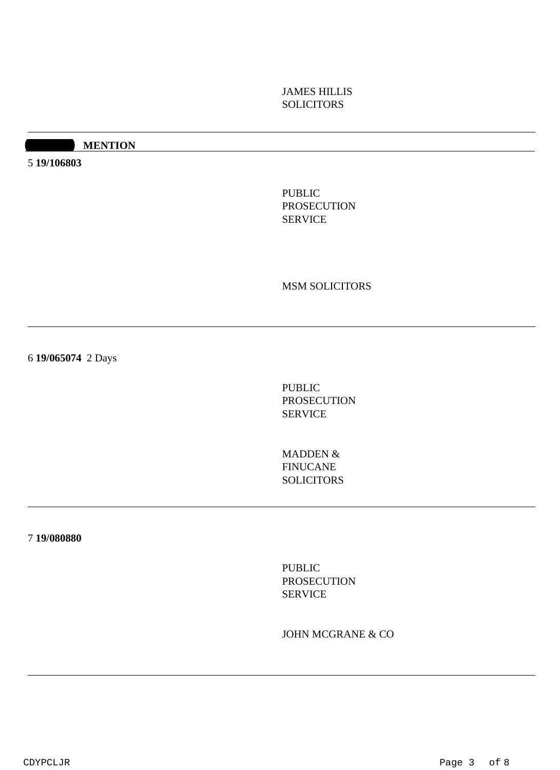# JAMES HILLIS **SOLICITORS**

#### **11:30 MENTION**

5 **19/106803**

PUBLIC PROSECUTION SERVICE

MSM SOLICITORS

6 **19/065074** 2 Days

PUBLIC PROSECUTION SERVICE

MADDEN & FINUCANE SOLICITORS

7 **19/080880**

PUBLIC PROSECUTION SERVICE

JOHN MCGRANE & CO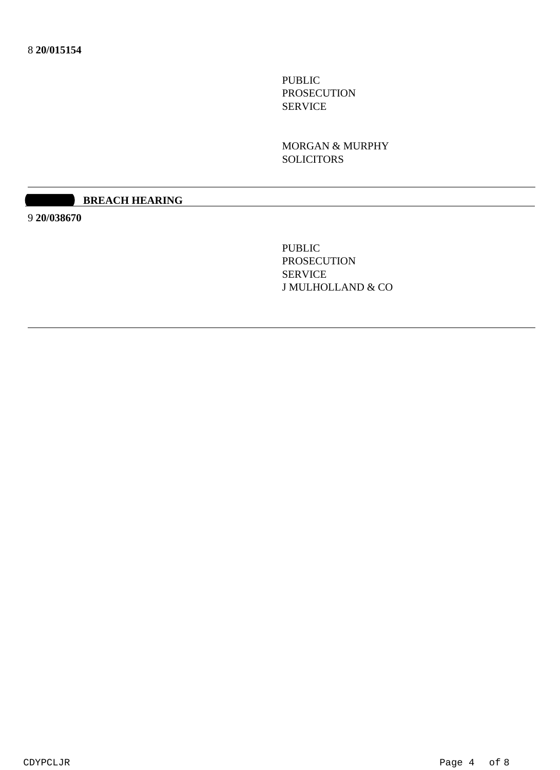PUBLIC PROSECUTION SERVICE

MORGAN & MURPHY SOLICITORS

#### **12:30 BREACH HEARING**

9 **20/038670**

PUBLIC PROSECUTION SERVICE J MULHOLLAND & CO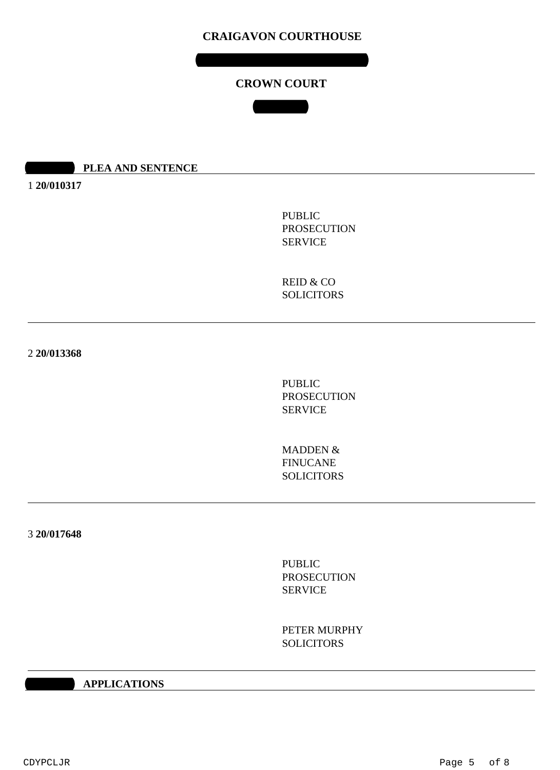**WEDNESDAY 12 AUGUST 2020**

### **CROWN COURT**

**COURT 1**

#### **10:00 PLEA AND SENTENCE**

1 **20/010317**

PUBLIC PROSECUTION SERVICE

REID & CO **SOLICITORS** 

2 **20/013368**

PUBLIC PROSECUTION SERVICE

MADDEN & FINUCANE SOLICITORS

3 **20/017648**

PUBLIC PROSECUTION SERVICE

PETER MURPHY **SOLICITORS** 

#### **10:00 AM APPLICATIONS**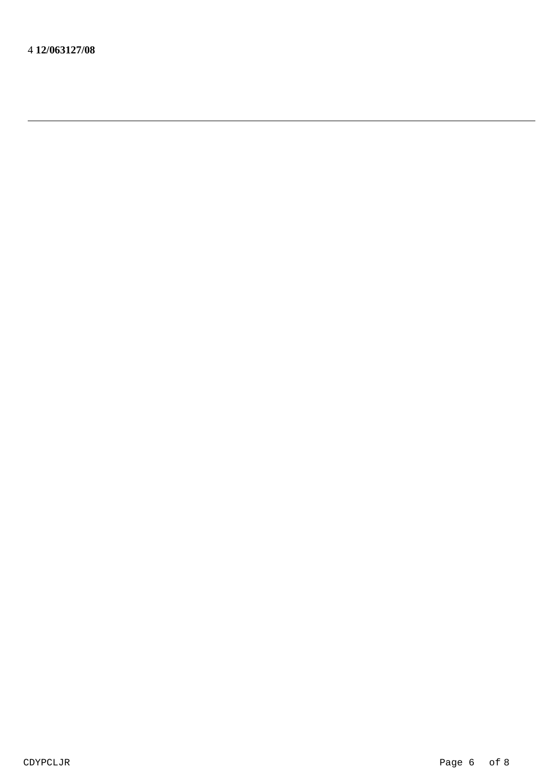4 **12/063127/08**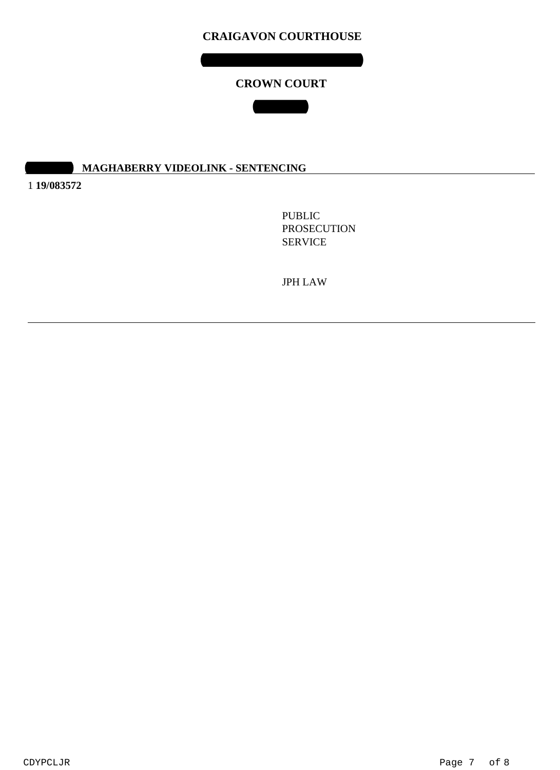## **CROWN COURT**

**COURT 1**

# **01:40 MAGHABERRY VIDEOLINK - SENTENCING**

1 **19/083572**

PUBLIC PROSECUTION SERVICE

JPH LAW